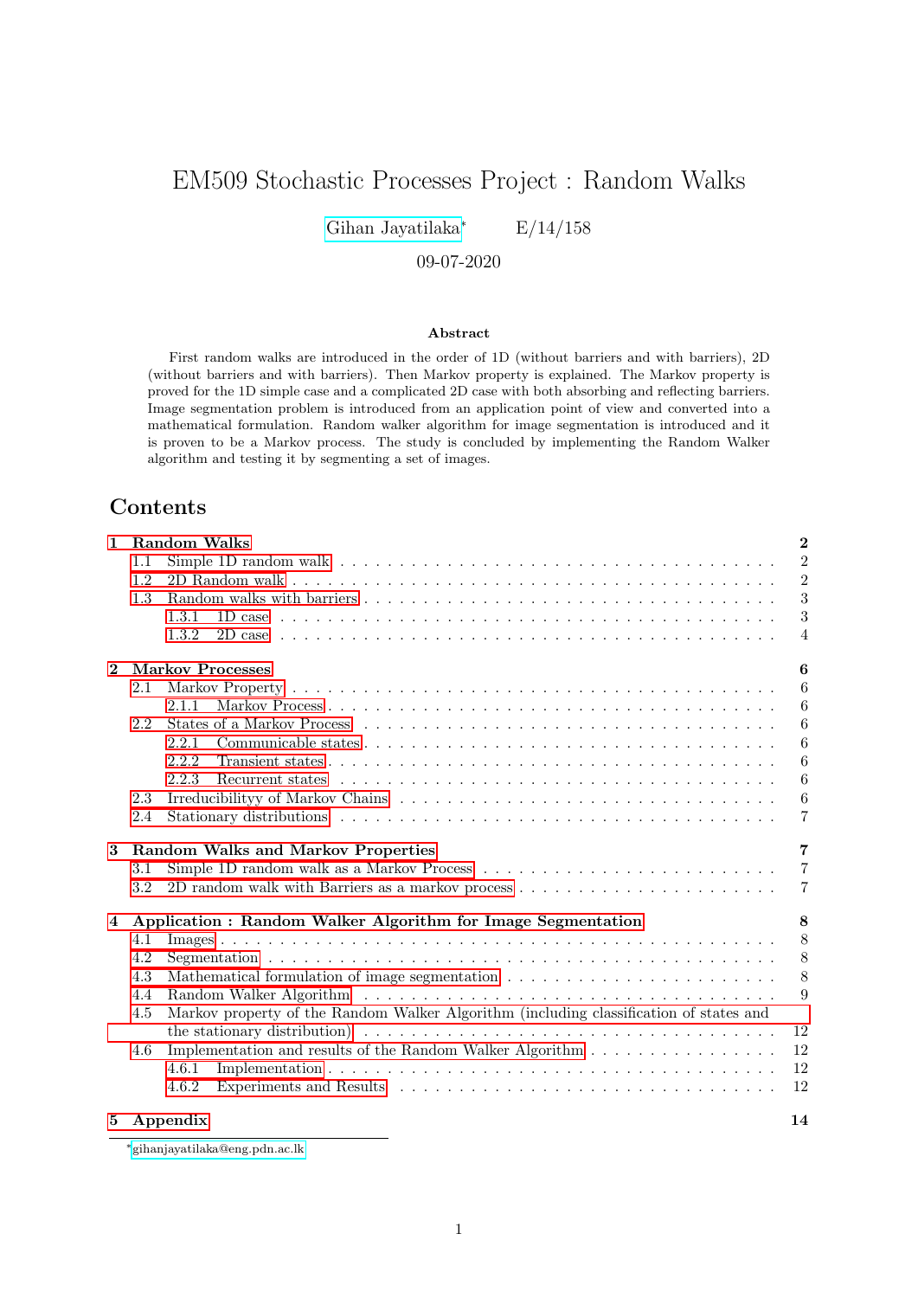# EM509 Stochastic Processes Project : Random Walks

[Gihan Jayatilaka](https://gihan.me)<sup>∗</sup> E/14/158

09-07-2020

#### Abstract

First random walks are introduced in the order of 1D (without barriers and with barriers), 2D (without barriers and with barriers). Then Markov property is explained. The Markov property is proved for the 1D simple case and a complicated 2D case with both absorbing and reflecting barriers. Image segmentation problem is introduced from an application point of view and converted into a mathematical formulation. Random walker algorithm for image segmentation is introduced and it is proven to be a Markov process. The study is concluded by implementing the Random Walker algorithm and testing it by segmenting a set of images.

## Contents

| $\mathbf{1}$   |     | <b>Random Walks</b>                                                                                                                                                                                                                                                                                                      | $\overline{2}$   |
|----------------|-----|--------------------------------------------------------------------------------------------------------------------------------------------------------------------------------------------------------------------------------------------------------------------------------------------------------------------------|------------------|
|                | 1.1 |                                                                                                                                                                                                                                                                                                                          | $\overline{2}$   |
|                | 1.2 |                                                                                                                                                                                                                                                                                                                          | $\overline{2}$   |
|                | 1.3 |                                                                                                                                                                                                                                                                                                                          | 3                |
|                |     | 1.3.1                                                                                                                                                                                                                                                                                                                    | 3                |
|                |     | 1.3.2                                                                                                                                                                                                                                                                                                                    | $\overline{4}$   |
| $\mathbf{2}$   |     | <b>Markov Processes</b>                                                                                                                                                                                                                                                                                                  | 6                |
|                | 2.1 |                                                                                                                                                                                                                                                                                                                          | 6                |
|                |     | 2.1.1                                                                                                                                                                                                                                                                                                                    | 6                |
|                | 2.2 |                                                                                                                                                                                                                                                                                                                          | 6                |
|                |     | 2.2.1                                                                                                                                                                                                                                                                                                                    | 6                |
|                |     | 2.2.2                                                                                                                                                                                                                                                                                                                    | 6                |
|                |     | 2.2.3                                                                                                                                                                                                                                                                                                                    | 6                |
|                | 2.3 |                                                                                                                                                                                                                                                                                                                          | $\boldsymbol{6}$ |
|                | 2.4 |                                                                                                                                                                                                                                                                                                                          | 7                |
| 3              |     | <b>Random Walks and Markov Properties</b>                                                                                                                                                                                                                                                                                | 7                |
|                |     |                                                                                                                                                                                                                                                                                                                          |                  |
|                | 3.1 |                                                                                                                                                                                                                                                                                                                          | 7                |
|                | 3.2 | 2D random walk with Barriers as a markov process                                                                                                                                                                                                                                                                         | 7                |
| $\overline{4}$ |     |                                                                                                                                                                                                                                                                                                                          | 8                |
|                | 4.1 | Application : Random Walker Algorithm for Image Segmentation                                                                                                                                                                                                                                                             | 8                |
|                | 4.2 |                                                                                                                                                                                                                                                                                                                          | 8                |
|                | 4.3 |                                                                                                                                                                                                                                                                                                                          | 8                |
|                | 4.4 |                                                                                                                                                                                                                                                                                                                          | 9                |
|                | 4.5 | Random Walker Algorithm (and all algorithm of the state of the state of the state of the state of the state of the state of the state of the state of the state of the state of the state of the state of the state of the sta<br>Markov property of the Random Walker Algorithm (including classification of states and |                  |
|                |     | the stationary distribution $\big) \dots \dots \dots \dots \dots \dots \dots \dots \dots \dots \dots \dots \dots \dots \dots$                                                                                                                                                                                            | 12               |
|                | 4.6 |                                                                                                                                                                                                                                                                                                                          | 12               |
|                |     | 4.6.1                                                                                                                                                                                                                                                                                                                    | 12               |
|                |     | 4.6.2                                                                                                                                                                                                                                                                                                                    | 12               |

<sup>∗</sup>[gihanjayatilaka@eng.pdn.ac.lk](mailto:gihanjayatilaka@eng.pdn.ac.lk)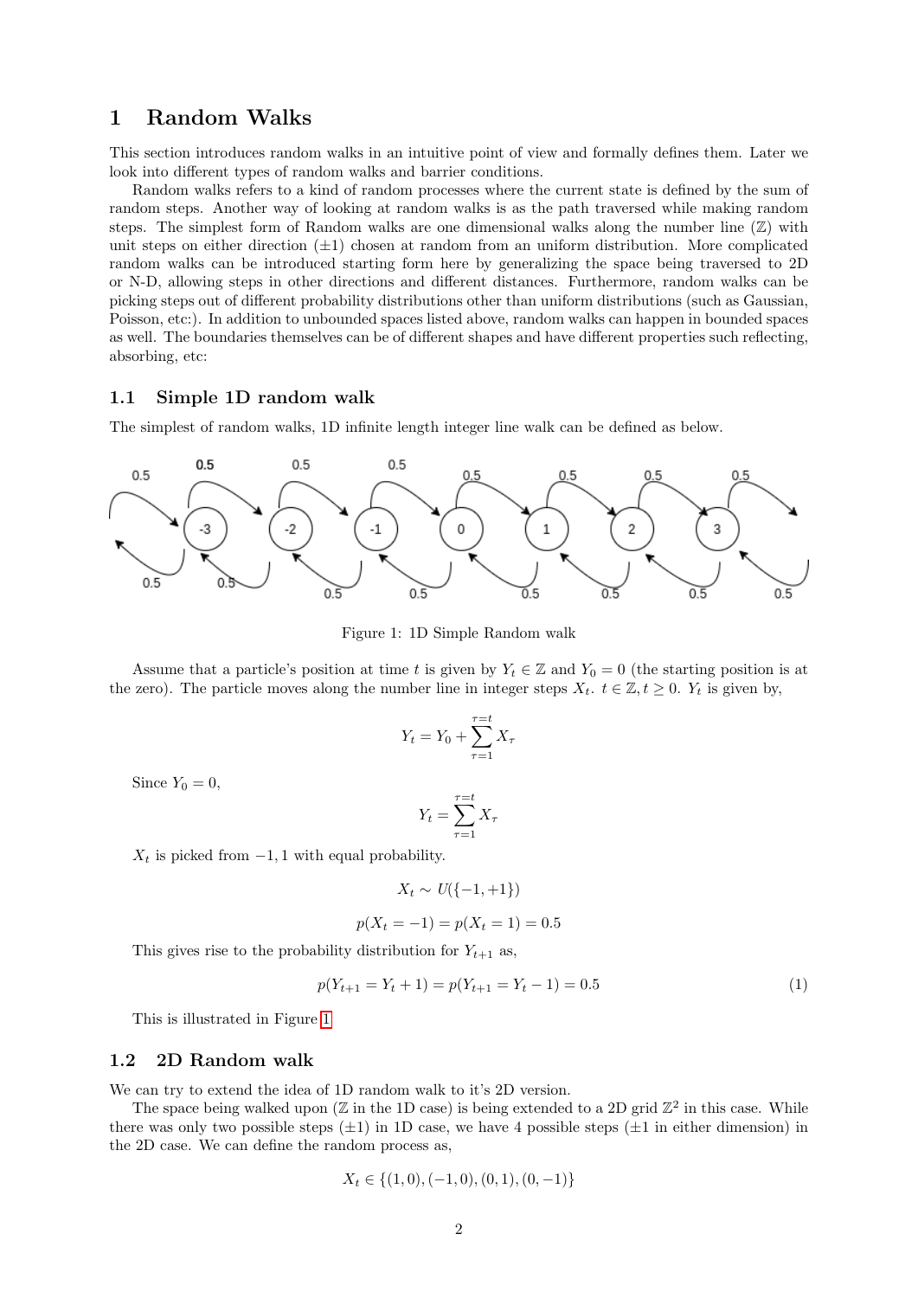## <span id="page-1-0"></span>1 Random Walks

This section introduces random walks in an intuitive point of view and formally defines them. Later we look into different types of random walks and barrier conditions.

Random walks refers to a kind of random processes where the current state is defined by the sum of random steps. Another way of looking at random walks is as the path traversed while making random steps. The simplest form of Random walks are one dimensional walks along the number line  $(\mathbb{Z})$  with unit steps on either direction  $(\pm 1)$  chosen at random from an uniform distribution. More complicated random walks can be introduced starting form here by generalizing the space being traversed to 2D or N-D, allowing steps in other directions and different distances. Furthermore, random walks can be picking steps out of different probability distributions other than uniform distributions (such as Gaussian, Poisson, etc:). In addition to unbounded spaces listed above, random walks can happen in bounded spaces as well. The boundaries themselves can be of different shapes and have different properties such reflecting, absorbing, etc:

#### <span id="page-1-1"></span>1.1 Simple 1D random walk

The simplest of random walks, 1D infinite length integer line walk can be defined as below.



Figure 1: 1D Simple Random walk

Assume that a particle's position at time t is given by  $Y_t \in \mathbb{Z}$  and  $Y_0 = 0$  (the starting position is at the zero). The particle moves along the number line in integer steps  $X_t$ .  $t \in \mathbb{Z}, t \geq 0$ .  $Y_t$  is given by,

$$
Y_t = Y_0 + \sum_{\tau=1}^{\tau=t} X_\tau
$$

Since  $Y_0 = 0$ ,

$$
Y_t = \sum_{\tau=1}^{\tau=t} X_\tau
$$

 $X_t$  is picked from  $-1$ , 1 with equal probability.

$$
X_t \sim U(\{-1,+1\})
$$

$$
p(X_t = -1) = p(X_t = 1) = 0.5
$$

This gives rise to the probability distribution for  $Y_{t+1}$  as,

<span id="page-1-3"></span>
$$
p(Y_{t+1} = Y_t + 1) = p(Y_{t+1} = Y_t - 1) = 0.5
$$
\n<sup>(1)</sup>

This is illustrated in Figure [1](#page-1-3)

#### <span id="page-1-2"></span>1.2 2D Random walk

We can try to extend the idea of 1D random walk to it's 2D version.

The space being walked upon ( $\mathbb Z$  in the 1D case) is being extended to a 2D grid  $\mathbb Z^2$  in this case. While there was only two possible steps  $(\pm 1)$  in 1D case, we have 4 possible steps  $(\pm 1$  in either dimension) in the 2D case. We can define the random process as,

$$
X_t \in \{(1,0), (-1,0), (0,1), (0,-1)\}
$$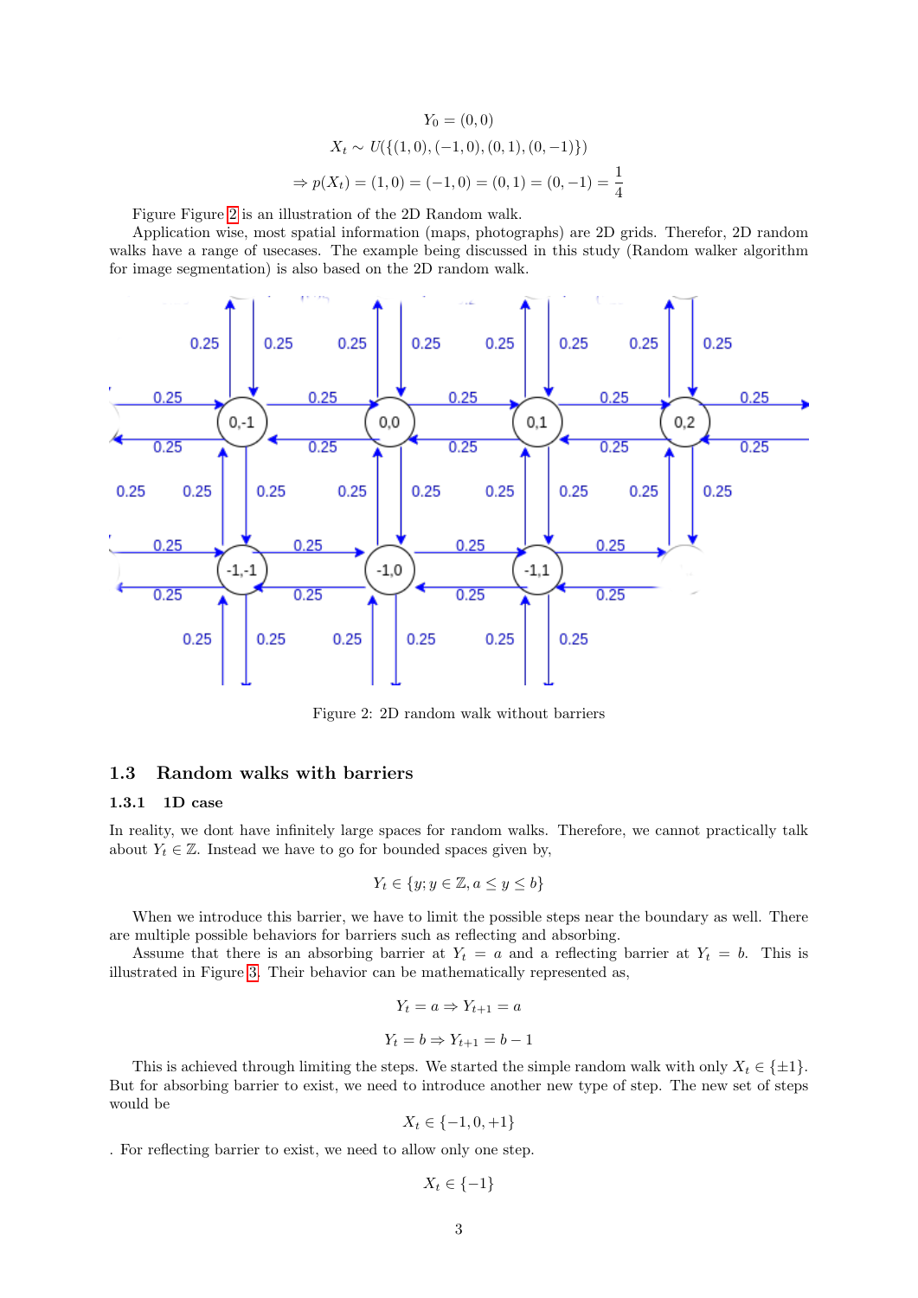$$
Y_0 = (0,0)
$$
  
\n
$$
X_t \sim U(\{(1,0), (-1,0), (0,1), (0,-1)\})
$$
  
\n
$$
\Rightarrow p(X_t) = (1,0) = (-1,0) = (0,1) = (0,-1) = \frac{1}{4}
$$

Figure Figure [2](#page-2-2) is an illustration of the 2D Random walk.

Application wise, most spatial information (maps, photographs) are 2D grids. Therefor, 2D random walks have a range of usecases. The example being discussed in this study (Random walker algorithm for image segmentation) is also based on the 2D random walk.



<span id="page-2-2"></span>Figure 2: 2D random walk without barriers

#### <span id="page-2-0"></span>1.3 Random walks with barriers

#### <span id="page-2-1"></span>1.3.1 1D case

In reality, we dont have infinitely large spaces for random walks. Therefore, we cannot practically talk about  $Y_t \in \mathbb{Z}$ . Instead we have to go for bounded spaces given by,

$$
Y_t \in \{y; y \in \mathbb{Z}, a \le y \le b\}
$$

When we introduce this barrier, we have to limit the possible steps near the boundary as well. There are multiple possible behaviors for barriers such as reflecting and absorbing.

Assume that there is an absorbing barrier at  $Y_t = a$  and a reflecting barrier at  $Y_t = b$ . This is illustrated in Figure [3.](#page-3-1) Their behavior can be mathematically represented as,

$$
Y_t = a \Rightarrow Y_{t+1} = a
$$

$$
Y_t = b \Rightarrow Y_{t+1} = b - 1
$$

This is achieved through limiting the steps. We started the simple random walk with only  $X_t \in \{\pm 1\}$ . But for absorbing barrier to exist, we need to introduce another new type of step. The new set of steps would be

$$
X_t \in \{-1, 0, +1\}
$$

. For reflecting barrier to exist, we need to allow only one step.

$$
X_t \in \{-1\}
$$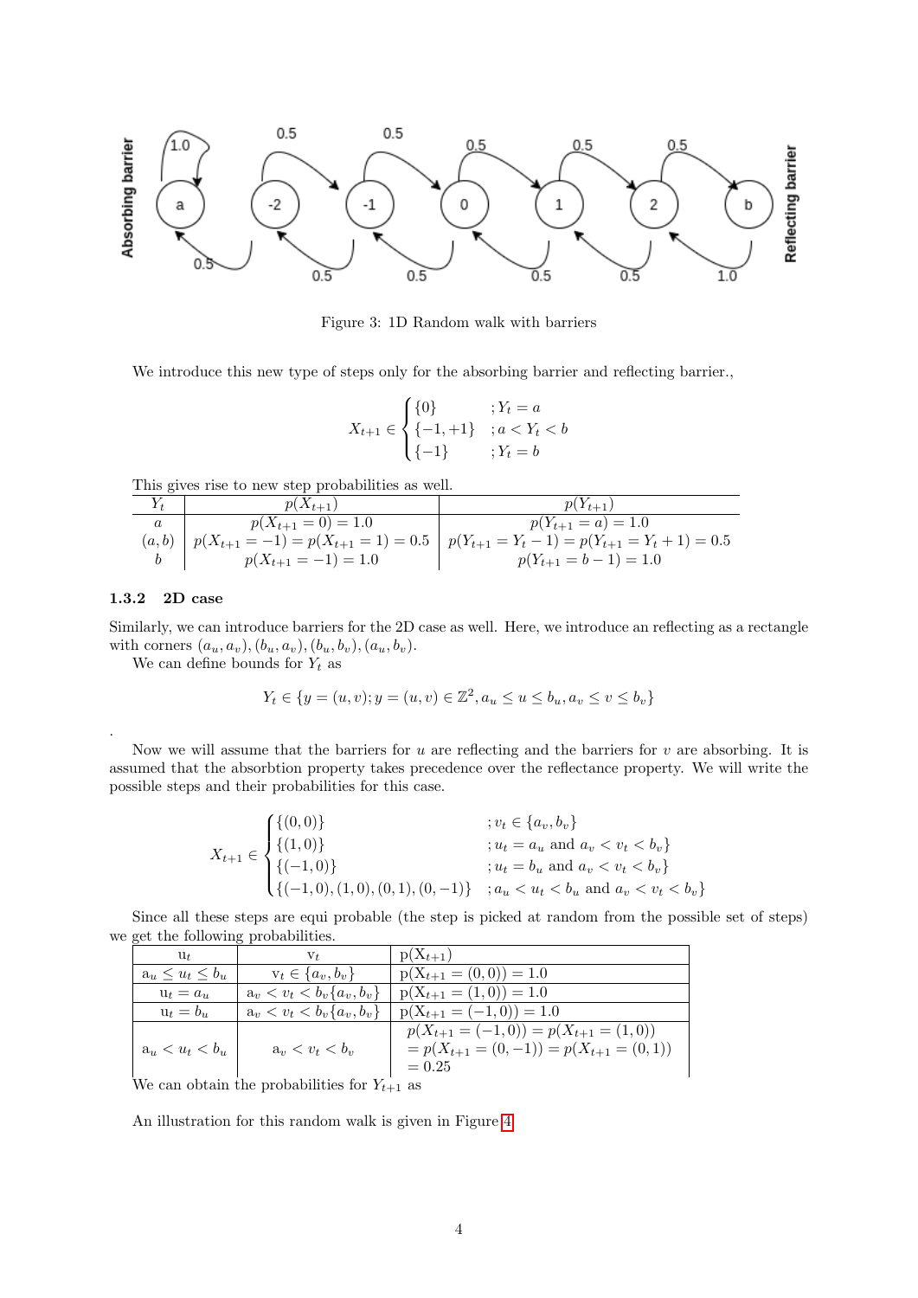

<span id="page-3-1"></span>Figure 3: 1D Random walk with barriers

We introduce this new type of steps only for the absorbing barrier and reflecting barrier.

$$
X_{t+1} \in \begin{cases} \{0\} & \text{if } Y_t = a \\ \{-1, +1\} & \text{if } a < Y_t < b \\ \{-1\} & \text{if } Y_t = b \end{cases}
$$

This gives rise to new step probabilities as well.

| $p(X_{t+1})$            | $p(Y_{t+1})$                                                                                         |
|-------------------------|------------------------------------------------------------------------------------------------------|
| $p(X_{t+1}=0)=1.0$      | $p(Y_{t+1} = a) = 1.0$                                                                               |
|                         | $(a,b)$ $p(X_{t+1} = -1) = p(X_{t+1} = 1) = 0.5$ $p(Y_{t+1} = Y_t - 1) = p(Y_{t+1} = Y_t + 1) = 0.5$ |
| $p(X_{t+1} = -1) = 1.0$ | $p(Y_{t+1} = b - 1) = 1.0$                                                                           |

#### <span id="page-3-0"></span>1.3.2 2D case

.

Similarly, we can introduce barriers for the 2D case as well. Here, we introduce an reflecting as a rectangle with corners  $(a_u, a_v), (b_u, a_v), (b_u, b_v), (a_u, b_v).$ 

We can define bounds for  $Y_t$  as

$$
Y_t \in \{ y = (u, v); y = (u, v) \in \mathbb{Z}^2, a_u \le u \le b_u, a_v \le v \le b_v \}
$$

Now we will assume that the barriers for  $u$  are reflecting and the barriers for  $v$  are absorbing. It is assumed that the absorbtion property takes precedence over the reflectance property. We will write the possible steps and their probabilities for this case.

$$
X_{t+1} \in \begin{cases} \{(0,0)\} & ; v_t \in \{a_v, b_v\} \\ \{(1,0)\} & ; u_t = a_u \text{ and } a_v < v_t < b_v \} \\ \{(-1,0)\} & ; u_t = b_u \text{ and } a_v < v_t < b_v \} \\ \{(-1,0), (1,0), (0,1), (0,-1)\} & ; a_u < u_t < b_u \text{ and } a_v < v_t < b_v \end{cases}
$$

Since all these steps are equi probable (the step is picked at random from the possible set of steps) we get the following probabilities.

| $u_{t}$                 | ${\rm V}_{t}$                                       | $p(X_{t+1})$                                   |
|-------------------------|-----------------------------------------------------|------------------------------------------------|
| $a_u \leq u_t \leq b_u$ | $v_t \in \{a_v, b_v\}$                              | $p(X_{t+1} = (0,0)) = 1.0$                     |
| $u_t = a_u$             | $a_v < v_t < b_v \{a_v, b_v\}$                      | $p(X_{t+1} = (1,0)) = 1.0$                     |
| $u_t = b_u$             | $a_v < v_t < b_v \{a_v, b_v\}$                      | $p(X_{t+1}=(-1,0))=1.0$                        |
|                         |                                                     | $p(X_{t+1}=(-1,0))=p(X_{t+1}=1,0)$             |
| $a_u < u_t < b_u$       | $a_v < v_t < b_v$                                   | $= p(X_{t+1} = (0, -1)) = p(X_{t+1} = (0, 1))$ |
|                         |                                                     | $= 0.25$                                       |
|                         | We can obtain the probabilities for $V_{\alpha}$ as |                                                |

We can obtain the probabilities for  $Y_{t+1}$  as

An illustration for this random walk is given in Figure [4](#page-4-0)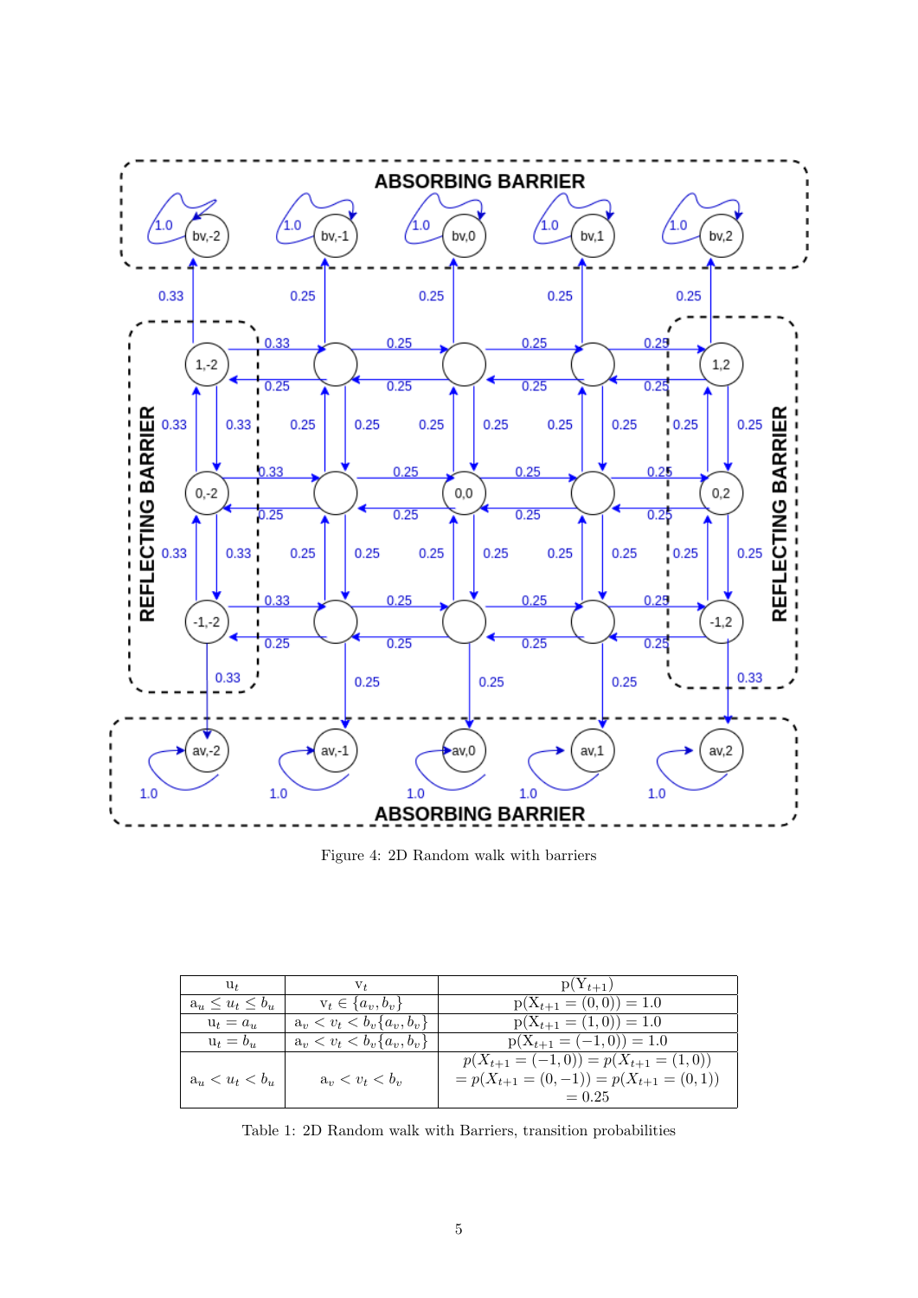

<span id="page-4-0"></span>Figure 4: 2D Random walk with barriers

| $u_t$                   | V+                             | $p(Y_{t+1})$                                                                                     |
|-------------------------|--------------------------------|--------------------------------------------------------------------------------------------------|
| $a_u \leq u_t \leq b_u$ | $v_t \in \{a_v, b_v\}$         | $p(X_{t+1} = (0,0)) = 1.0$                                                                       |
| $u_t = a_u$             | $a_v < v_t < b_v \{a_v, b_v\}$ | $p(X_{t+1} = (1,0)) = 1.0$                                                                       |
| $u_t = b_u$             | $a_v < v_t < b_v \{a_v, b_v\}$ | $p(X_{t+1}=(-1,0))=1.0$                                                                          |
| $a_u < u_t < b_u$       | $a_v < v_t < b_v$              | $p(X_{t+1}=(-1,0))=p(X_{t+1}=1,0)$<br>$= p(X_{t+1} = (0, -1)) = p(X_{t+1} = (0, 1))$<br>$= 0.25$ |

<span id="page-4-1"></span>Table 1: 2D Random walk with Barriers, transition probabilities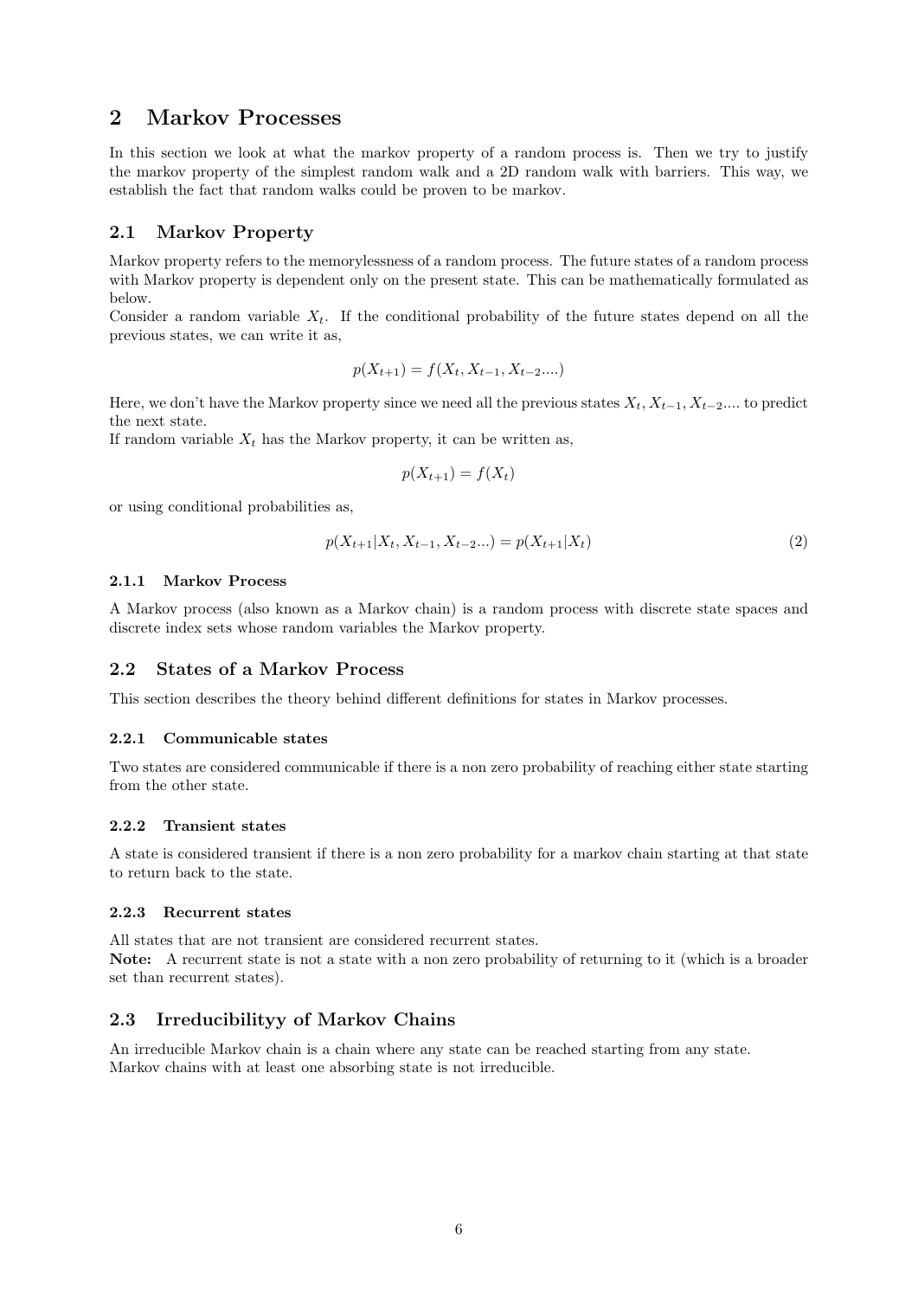## <span id="page-5-0"></span>2 Markov Processes

In this section we look at what the markov property of a random process is. Then we try to justify the markov property of the simplest random walk and a 2D random walk with barriers. This way, we establish the fact that random walks could be proven to be markov.

#### <span id="page-5-1"></span>2.1 Markov Property

Markov property refers to the memorylessness of a random process. The future states of a random process with Markov property is dependent only on the present state. This can be mathematically formulated as below.

Consider a random variable  $X_t$ . If the conditional probability of the future states depend on all the previous states, we can write it as,

$$
p(X_{t+1}) = f(X_t, X_{t-1}, X_{t-2}....)
$$

Here, we don't have the Markov property since we need all the previous states  $X_t, X_{t-1}, X_{t-2}$ ... to predict the next state.

If random variable  $X_t$  has the Markov property, it can be written as,

$$
p(X_{t+1}) = f(X_t)
$$

or using conditional probabilities as,

<span id="page-5-8"></span>
$$
p(X_{t+1}|X_t, X_{t-1}, X_{t-2}...) = p(X_{t+1}|X_t)
$$
\n<sup>(2)</sup>

#### <span id="page-5-2"></span>2.1.1 Markov Process

A Markov process (also known as a Markov chain) is a random process with discrete state spaces and discrete index sets whose random variables the Markov property.

#### <span id="page-5-3"></span>2.2 States of a Markov Process

This section describes the theory behind different definitions for states in Markov processes.

#### <span id="page-5-4"></span>2.2.1 Communicable states

Two states are considered communicable if there is a non zero probability of reaching either state starting from the other state.

#### <span id="page-5-5"></span>2.2.2 Transient states

A state is considered transient if there is a non zero probability for a markov chain starting at that state to return back to the state.

#### <span id="page-5-6"></span>2.2.3 Recurrent states

All states that are not transient are considered recurrent states. Note: A recurrent state is not a state with a non zero probability of returning to it (which is a broader set than recurrent states).

#### <span id="page-5-7"></span>2.3 Irreducibilityy of Markov Chains

An irreducible Markov chain is a chain where any state can be reached starting from any state. Markov chains with at least one absorbing state is not irreducible.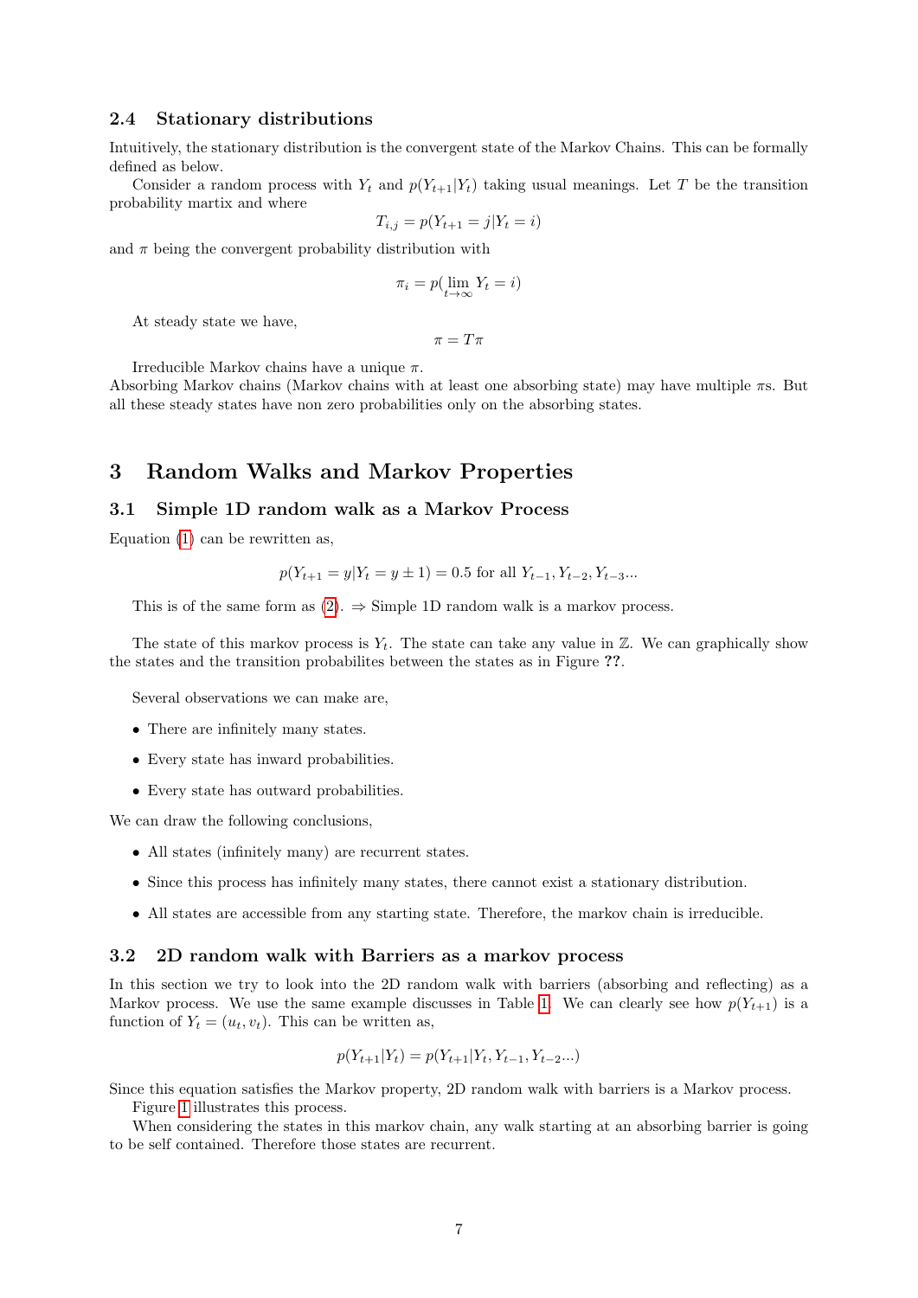#### <span id="page-6-0"></span>2.4 Stationary distributions

Intuitively, the stationary distribution is the convergent state of the Markov Chains. This can be formally defined as below.

Consider a random process with  $Y_t$  and  $p(Y_{t+1}|Y_t)$  taking usual meanings. Let T be the transition probability martix and where

$$
T_{i,j} = p(Y_{t+1} = j | Y_t = i)
$$

and  $\pi$  being the convergent probability distribution with

$$
\pi_i = p(\lim_{t \to \infty} Y_t = i)
$$

At steady state we have,

 $\pi = T\pi$ 

Irreducible Markov chains have a unique  $\pi$ .

Absorbing Markov chains (Markov chains with at least one absorbing state) may have multiple πs. But all these steady states have non zero probabilities only on the absorbing states.

### <span id="page-6-1"></span>3 Random Walks and Markov Properties

#### <span id="page-6-2"></span>3.1 Simple 1D random walk as a Markov Process

Equation [\(1\)](#page-1-3) can be rewritten as,

$$
p(Y_{t+1} = y | Y_t = y \pm 1) = 0.5
$$
 for all  $Y_{t-1}, Y_{t-2}, Y_{t-3}...$ 

This is of the same form as [\(2\)](#page-5-8).  $\Rightarrow$  Simple 1D random walk is a markov process.

The state of this markov process is  $Y_t$ . The state can take any value in  $\mathbb{Z}$ . We can graphically show the states and the transition probabilites between the states as in Figure ??.

Several observations we can make are,

- There are infinitely many states.
- Every state has inward probabilities.
- Every state has outward probabilities.

We can draw the following conclusions,

- All states (infinitely many) are recurrent states.
- Since this process has infinitely many states, there cannot exist a stationary distribution.
- All states are accessible from any starting state. Therefore, the markov chain is irreducible.

#### <span id="page-6-3"></span>3.2 2D random walk with Barriers as a markov process

In this section we try to look into the 2D random walk with barriers (absorbing and reflecting) as a Markov process. We use the same example discusses in Table [1.](#page-4-1) We can clearly see how  $p(Y_{t+1})$  is a function of  $Y_t = (u_t, v_t)$ . This can be written as,

$$
p(Y_{t+1}|Y_t) = p(Y_{t+1}|Y_t, Y_{t-1}, Y_{t-2}...)
$$

Since this equation satisfies the Markov property, 2D random walk with barriers is a Markov process.

Figure [1](#page-4-1) illustrates this process.

When considering the states in this markov chain, any walk starting at an absorbing barrier is going to be self contained. Therefore those states are recurrent.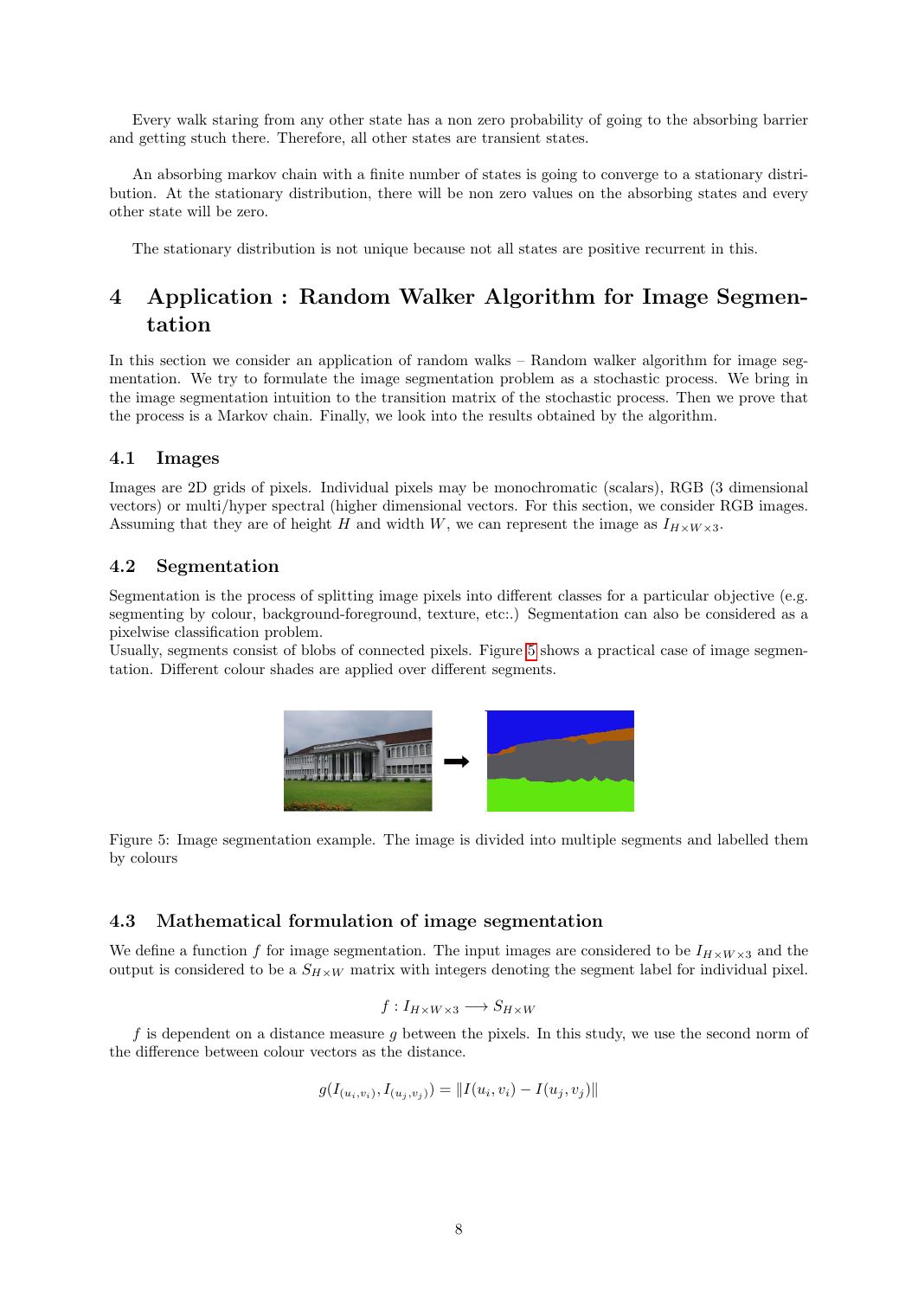Every walk staring from any other state has a non zero probability of going to the absorbing barrier and getting stuch there. Therefore, all other states are transient states.

An absorbing markov chain with a finite number of states is going to converge to a stationary distribution. At the stationary distribution, there will be non zero values on the absorbing states and every other state will be zero.

The stationary distribution is not unique because not all states are positive recurrent in this.

## <span id="page-7-0"></span>4 Application : Random Walker Algorithm for Image Segmentation

In this section we consider an application of random walks – Random walker algorithm for image segmentation. We try to formulate the image segmentation problem as a stochastic process. We bring in the image segmentation intuition to the transition matrix of the stochastic process. Then we prove that the process is a Markov chain. Finally, we look into the results obtained by the algorithm.

#### <span id="page-7-1"></span>4.1 Images

Images are 2D grids of pixels. Individual pixels may be monochromatic (scalars), RGB (3 dimensional vectors) or multi/hyper spectral (higher dimensional vectors. For this section, we consider RGB images. Assuming that they are of height H and width W, we can represent the image as  $I_{H\times W\times 3}$ .

#### <span id="page-7-2"></span>4.2 Segmentation

Segmentation is the process of splitting image pixels into different classes for a particular objective (e.g. segmenting by colour, background-foreground, texture, etc:.) Segmentation can also be considered as a pixelwise classification problem.

Usually, segments consist of blobs of connected pixels. Figure [5](#page-7-4) shows a practical case of image segmentation. Different colour shades are applied over different segments.



<span id="page-7-4"></span>Figure 5: Image segmentation example. The image is divided into multiple segments and labelled them by colours

#### <span id="page-7-3"></span>4.3 Mathematical formulation of image segmentation

We define a function f for image segmentation. The input images are considered to be  $I_{H\times W\times 3}$  and the output is considered to be a  $S_{H\times W}$  matrix with integers denoting the segment label for individual pixel.

$$
f: I_{H \times W \times 3} \longrightarrow S_{H \times W}
$$

 $f$  is dependent on a distance measure  $g$  between the pixels. In this study, we use the second norm of the difference between colour vectors as the distance.

$$
g(I_{(u_i, v_i)}, I_{(u_j, v_j)}) = ||I(u_i, v_i) - I(u_j, v_j)||
$$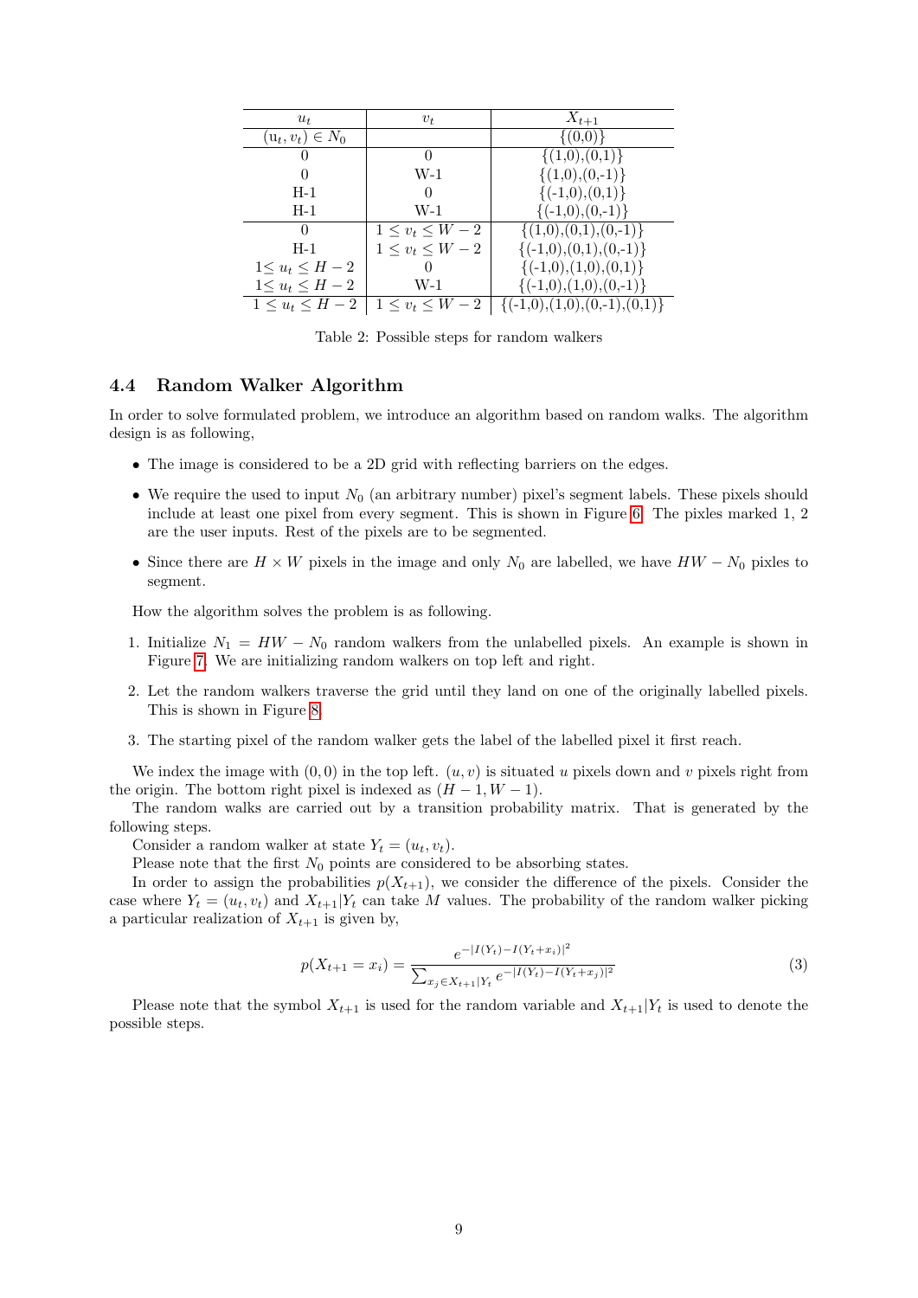| $u_t$                 | $v_t$                 | $X_{t+1}$                        |
|-----------------------|-----------------------|----------------------------------|
| $(u_t, v_t) \in N_0$  |                       | $\{(0,0)\}\$                     |
|                       | $\Omega$              | $\{(1,0),(0,1)\}\$               |
|                       | $W-1$                 | $\{(1,0),(0,-1)\}\$              |
| $H-1$                 | 0                     | $\{(-1,0),(0,1)\}\$              |
| $H-1$                 | $W-1$                 | $\{(-1,0),(0,-1)\}\$             |
| $\Omega$              | $1 \leq v_t \leq W-2$ | $\{(1,0),(0,1),(0,-1)\}\$        |
| $H-1$                 | $1 \leq v_t \leq W-2$ | $\{(-1,0),(0,1),(0,-1)\}\$       |
| $1 \le u_t \le H-2$   | $\Omega$              | $\{(-1,0),(1,0),(0,1)\}\$        |
| $1\leq u_t\leq H-2$   | W-1                   | $\{(-1,0), (1,0), (0,-1)\}\$     |
| $1 \leq u_t \leq H-2$ | $1\leq v_t\leq W-2$   | $\{(-1,0),(1,0),(0,-1),(0,1)\}\$ |

Table 2: Possible steps for random walkers

#### <span id="page-8-0"></span>4.4 Random Walker Algorithm

In order to solve formulated problem, we introduce an algorithm based on random walks. The algorithm design is as following,

- The image is considered to be a 2D grid with reflecting barriers on the edges.
- We require the used to input  $N_0$  (an arbitrary number) pixel's segment labels. These pixels should include at least one pixel from every segment. This is shown in Figure [6.](#page-9-0) The pixles marked 1, 2 are the user inputs. Rest of the pixels are to be segmented.
- Since there are  $H \times W$  pixels in the image and only  $N_0$  are labelled, we have  $HW N_0$  pixles to segment.

How the algorithm solves the problem is as following.

- 1. Initialize  $N_1 = HW N_0$  random walkers from the unlabelled pixels. An example is shown in Figure [7.](#page-9-1) We are initializing random walkers on top left and right.
- 2. Let the random walkers traverse the grid until they land on one of the originally labelled pixels. This is shown in Figure [8.](#page-10-0)
- 3. The starting pixel of the random walker gets the label of the labelled pixel it first reach.

We index the image with  $(0, 0)$  in the top left.  $(u, v)$  is situated u pixels down and v pixels right from the origin. The bottom right pixel is indexed as  $(H-1, W-1)$ .

The random walks are carried out by a transition probability matrix. That is generated by the following steps.

Consider a random walker at state  $Y_t = (u_t, v_t)$ .

Please note that the first  $N_0$  points are considered to be absorbing states.

In order to assign the probabilities  $p(X_{t+1})$ , we consider the difference of the pixels. Consider the case where  $Y_t = (u_t, v_t)$  and  $X_{t+1}|Y_t$  can take M values. The probability of the random walker picking a particular realization of  $X_{t+1}$  is given by,

<span id="page-8-1"></span>
$$
p(X_{t+1} = x_i) = \frac{e^{-|I(Y_t) - I(Y_t + x_i)|^2}}{\sum_{x_j \in X_{t+1}|Y_t} e^{-|I(Y_t) - I(Y_t + x_j)|^2}}
$$
(3)

Please note that the symbol  $X_{t+1}$  is used for the random variable and  $X_{t+1}|Y_t$  is used to denote the possible steps.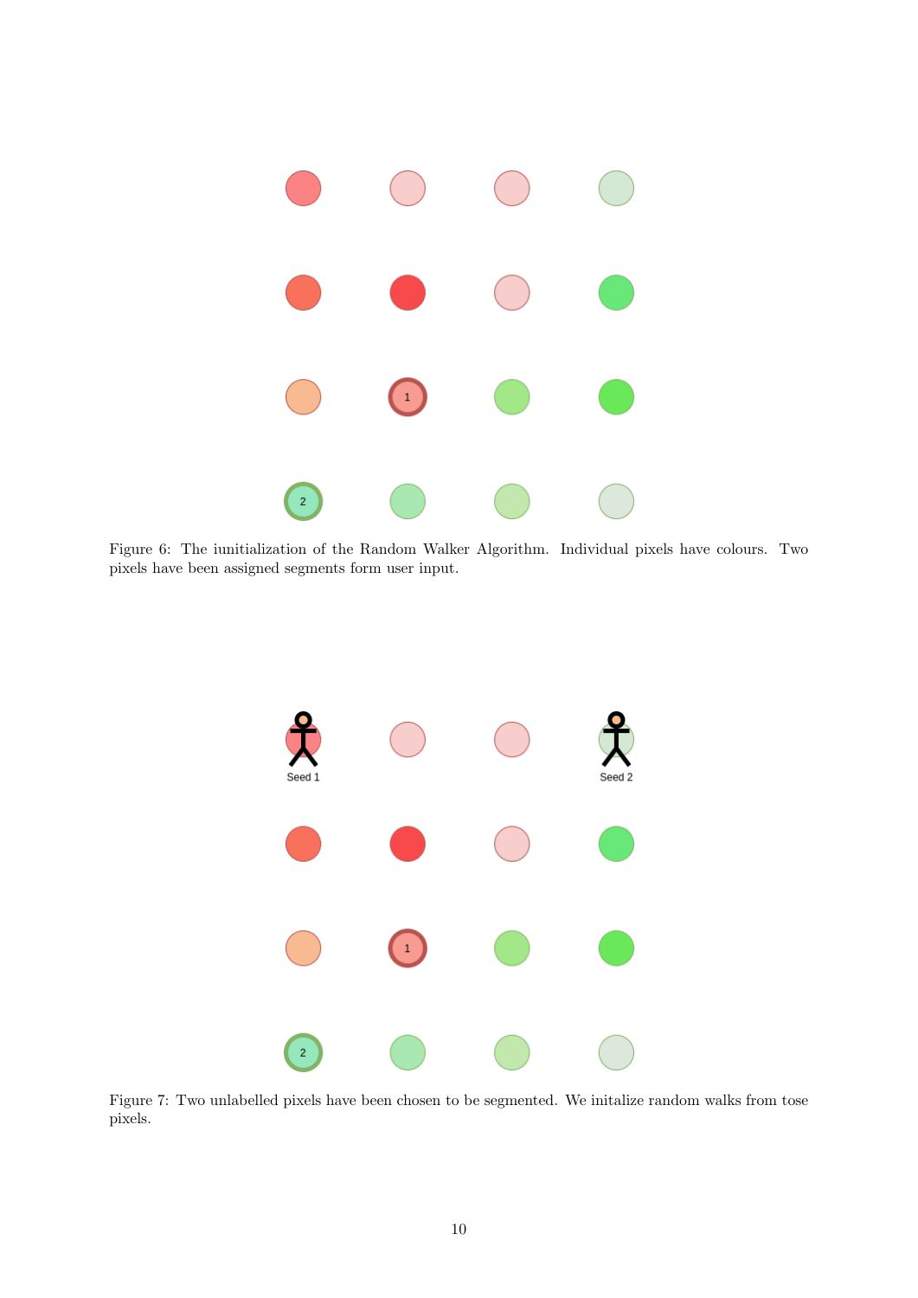

<span id="page-9-0"></span>Figure 6: The iunitialization of the Random Walker Algorithm. Individual pixels have colours. Two pixels have been assigned segments form user input.



<span id="page-9-1"></span>Figure 7: Two unlabelled pixels have been chosen to be segmented. We initalize random walks from tose pixels.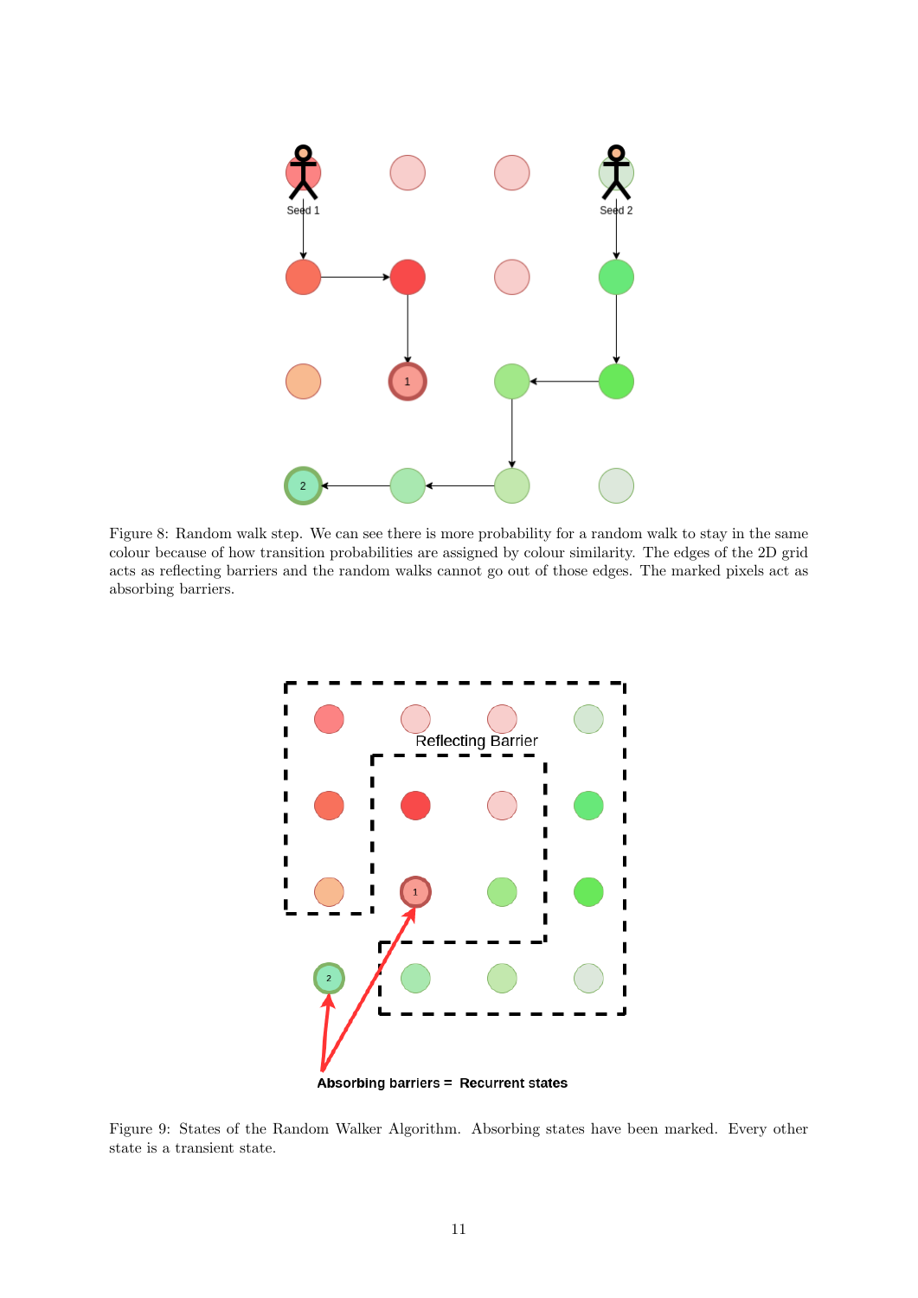

<span id="page-10-0"></span>Figure 8: Random walk step. We can see there is more probability for a random walk to stay in the same colour because of how transition probabilities are assigned by colour similarity. The edges of the 2D grid acts as reflecting barriers and the random walks cannot go out of those edges. The marked pixels act as absorbing barriers.



<span id="page-10-1"></span>Figure 9: States of the Random Walker Algorithm. Absorbing states have been marked. Every other state is a transient state.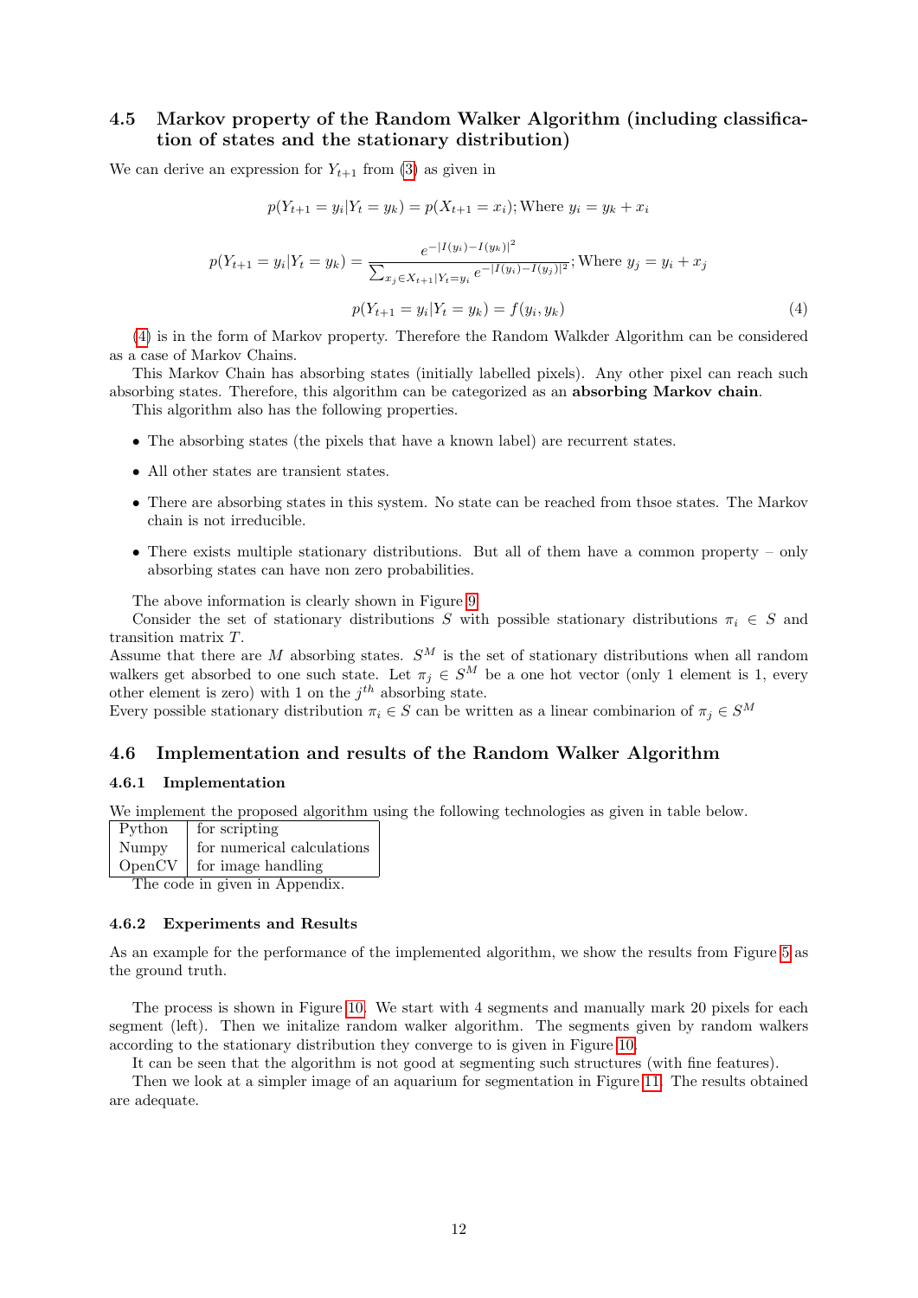### <span id="page-11-0"></span>4.5 Markov property of the Random Walker Algorithm (including classification of states and the stationary distribution)

We can derive an expression for  $Y_{t+1}$  from [\(3\)](#page-8-1) as given in

<span id="page-11-4"></span>
$$
p(Y_{t+1} = y_i | Y_t = y_k) = p(X_{t+1} = x_i); \text{Where } y_i = y_k + x_i
$$
\n
$$
p(Y_{t+1} = y_i | Y_t = y_k) = \frac{e^{-|I(y_i) - I(y_k)|^2}}{\sum_{x_j \in X_{t+1} | Y_t = y_i} e^{-|I(y_i) - I(y_j)|^2}}; \text{Where } y_j = y_i + x_j
$$
\n
$$
p(Y_{t+1} = y_i | Y_t = y_k) = f(y_i, y_k) \tag{4}
$$

[\(4\)](#page-11-4) is in the form of Markov property. Therefore the Random Walkder Algorithm can be considered as a case of Markov Chains.

This Markov Chain has absorbing states (initially labelled pixels). Any other pixel can reach such absorbing states. Therefore, this algorithm can be categorized as an absorbing Markov chain.

This algorithm also has the following properties.

- The absorbing states (the pixels that have a known label) are recurrent states.
- All other states are transient states.
- There are absorbing states in this system. No state can be reached from thsoe states. The Markov chain is not irreducible.
- There exists multiple stationary distributions. But all of them have a common property only absorbing states can have non zero probabilities.

The above information is clearly shown in Figure [9](#page-10-1)

Consider the set of stationary distributions S with possible stationary distributions  $\pi_i \in S$  and transition matrix T.

Assume that there are M absorbing states.  $S^M$  is the set of stationary distributions when all random walkers get absorbed to one such state. Let  $\pi_j \in S^M$  be a one hot vector (only 1 element is 1, every other element is zero) with 1 on the  $j^{th}$  absorbing state.

Every possible stationary distribution  $\pi_i \in S$  can be written as a linear combinarion of  $\pi_j \in S^M$ 

#### <span id="page-11-1"></span>4.6 Implementation and results of the Random Walker Algorithm

#### <span id="page-11-2"></span>4.6.1 Implementation

We implement the proposed algorithm using the following technologies as given in table below.

| Python | for scripting               |
|--------|-----------------------------|
| Numpy  | for numerical calculations  |
|        | $OpenCV$ for image handling |
|        |                             |

The code in given in Appendix.

#### <span id="page-11-3"></span>4.6.2 Experiments and Results

As an example for the performance of the implemented algorithm, we show the results from Figure [5](#page-7-4) as the ground truth.

The process is shown in Figure [10.](#page-12-0) We start with 4 segments and manually mark 20 pixels for each segment (left). Then we initalize random walker algorithm. The segments given by random walkers according to the stationary distribution they converge to is given in Figure [10.](#page-12-0)

It can be seen that the algorithm is not good at segmenting such structures (with fine features).

Then we look at a simpler image of an aquarium for segmentation in Figure [11.](#page-12-1) The results obtained are adequate.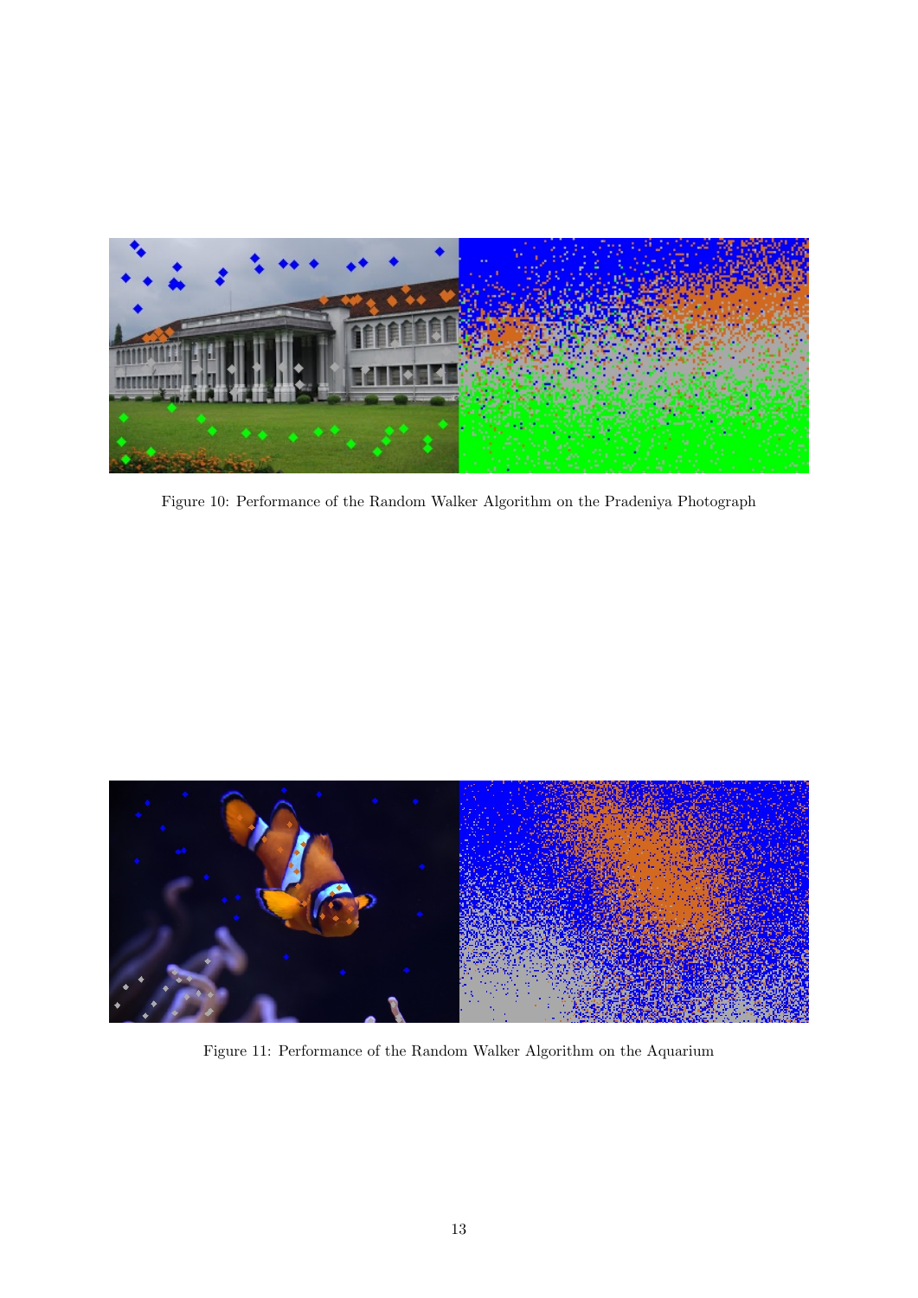<span id="page-12-0"></span>

Figure 10: Performance of the Random Walker Algorithm on the Pradeniya Photograph

<span id="page-12-1"></span>

Figure 11: Performance of the Random Walker Algorithm on the Aquarium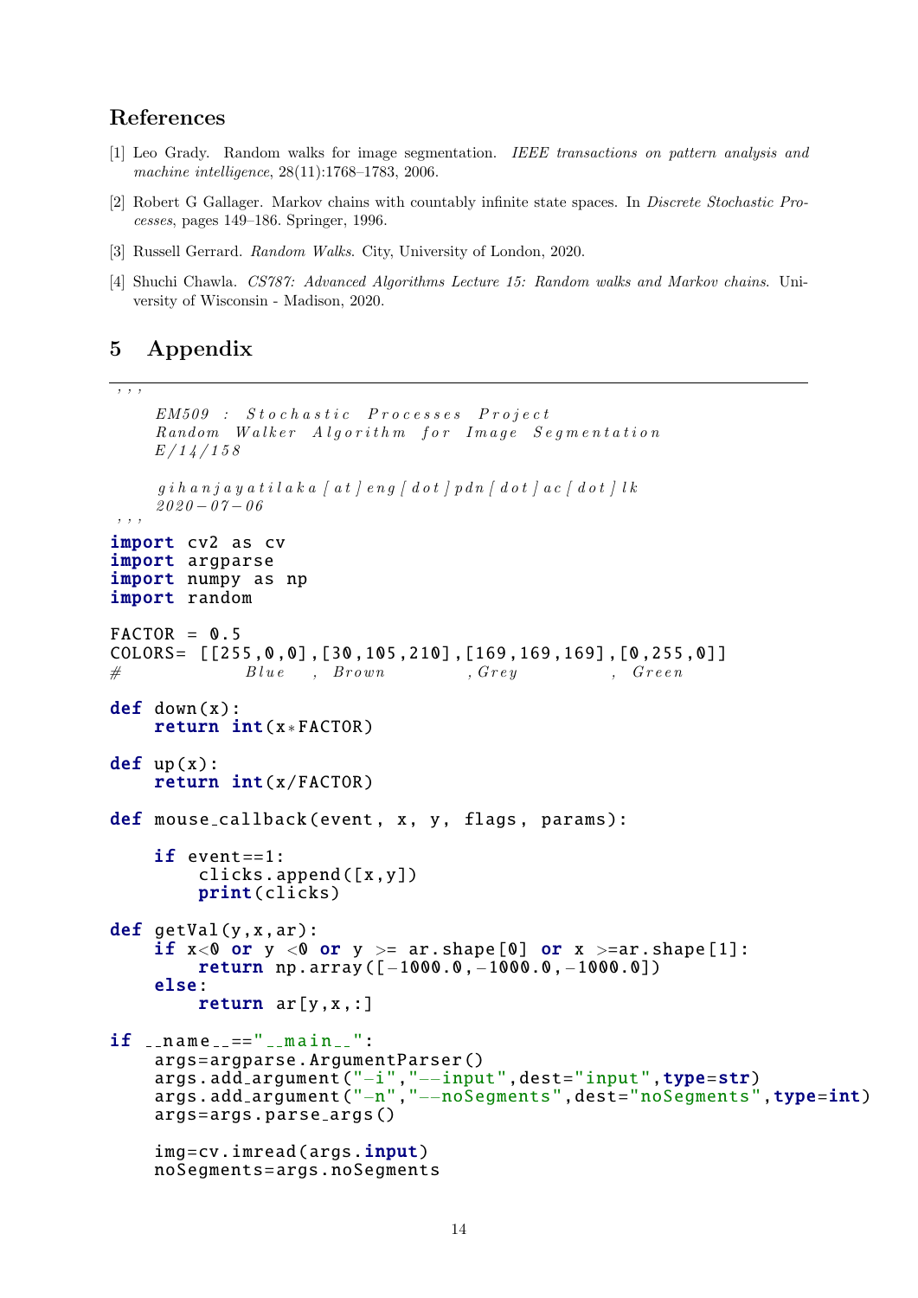## References

- [1] Leo Grady. Random walks for image segmentation. IEEE transactions on pattern analysis and machine intelligence, 28(11):1768–1783, 2006.
- [2] Robert G Gallager. Markov chains with countably infinite state spaces. In Discrete Stochastic Processes, pages 149–186. Springer, 1996.
- [3] Russell Gerrard. Random Walks. City, University of London, 2020.
- [4] Shuchi Chawla. CS787: Advanced Algorithms Lecture 15: Random walks and Markov chains. University of Wisconsin - Madison, 2020.

## <span id="page-13-0"></span>5 Appendix

```
' ' ' ' '
```

```
EM509 : Stochastic Processes Project
    Random Walker Algorithm for Image Segmentation
    E/14/158qih a nj a y a t i l a k a f a t l e n q f d o t j p d n f d o t l a c f d o t l l k2020 - 07 - 06, , ,
import cv2 as cv
import argparse
import numpy as np
import random
FACTOR = 0.5COLORS= [[255 ,0 ,0] ,[30 ,105 ,210] ,[169 ,169 ,169] ,[0 ,255 ,0]]
# Blue , Brown , Grey , Green
def down(x):
    return int(x∗ FACTOR)
def up(x):
    return int(x/FACTOR)
def mouse_callback (event, x, y, flags, params):
    if event ==1:
        clicks.append ([x,y])
        print(clicks)
def getVal(y,x,ar):
    if x<0 or y <0 or y> = ar.\,\text{shape}[0] or x> = ar.\,\text{shape}[1]:return np.array ([-1000.0, -1000.0, -1000.0])
    else:
        return ar[y,x ,:]
if __name__=="__main__":
    args=argparse . ArgumentParser ()
    args.add_argument("−i","−−input",dest="input",type=str)
    args.add_argument("−n","−−noSegments",dest="noSegments",type=int)
    args=args. parse args ()
    img=cv.imread(args.input)
    noSegments =args. noSegments
```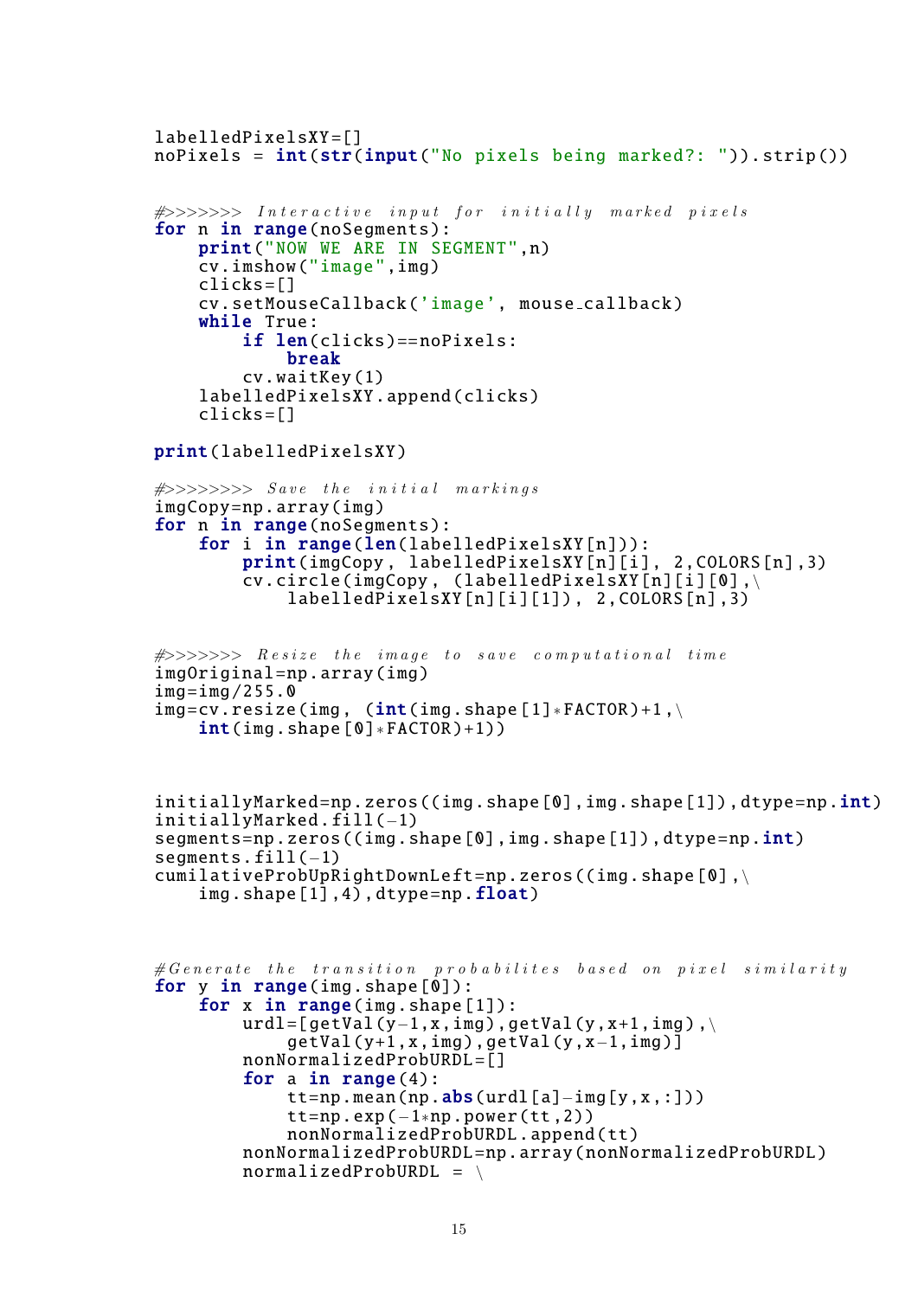```
labelledPixelsXY =[]
noPixels = int(str(input("No pixels being marked?: ')).strip())
```

```
\#>>>>> Interactive input for initially marked pixels
for n in range(noSegments):
    print("NOW WE ARE IN SEGMENT",n)
    cv.imshow("image",img)
    clicks =[]
    cv. setMouseCallback ('image', mouse callback )
    while True:
        if len(clicks) == noPixels:
            break
        cv.waitKey (1)
    labelledPixelsXY .append(clicks)
    clicks =[]
```
print( labelledPixelsXY )

```
\#>>>>>>>> Save the initial markings
imgCopy=np.array(img)
for n in range(noSegments):
    for i in range(len(labelledPixelsXY[n])):
        print(imgCopy , labelledPixelsXY [n][i], 2,COLORS[n],3)
        cv.circle(imgCopy, (labelledPixelsXY[n][i][0],\
            labelledPixelsXY [n][i][1]) , 2,COLORS[n],3)
```

```
\# \gg \gg \gg \gg Resize the image to save computational time
imgOriginal =np.array(img)
img = img / 255.0img=cv\text{ }resize(\text{img }, (int(\text{img } . \text{shape } [1]*FACTOR)+1, \setminusint(img.shape [0]*FACTOR)+1))
```

```
initiallyMarked = np.zeros ((img.shape [0], img.shape [1]), dtype = np.int)initiallyMarked .fill(−1)
segments=np.zeros ((img.shape [0], img.shape [1]), dtype=np.int)
segments.fill(−1)
cumilativeProbability@http://www.left = np.zeros((img.shape [0], \setminus ...))img.shape [1],4),dtype=np.float)
```

```
\# Generate the transition probabilites based on pixel similarity
for y in range(img.shape[0]):
    for x in range (img. shape [1]):
        urdl = \lceil getVal(y-1, x, img), getVal(y, x+1, img), \ranglegetVal(y+1,x,img),getVal(y,x−1,img )]
        nonNormalizedProbURDL =[]
        for a in range(4):
             tt=np.mean(np.abs(urdl[a]-img[y,x,:]))
             tt=np.exp(-1∗np.power(tt,2))
             nonNormalizedProbURDL .append(tt)
        nonNormalizedProbURDL =np.array( nonNormalizedProbURDL )
        normalizedProbURDL = \
```